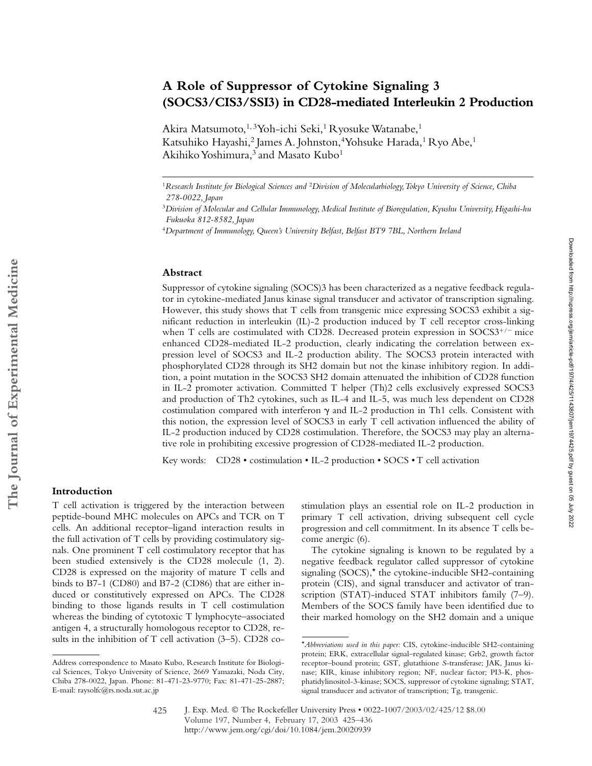# **A Role of Suppressor of Cytokine Signaling 3 (SOCS3/CIS3/SSI3) in CD28-mediated Interleukin 2 Production**

Akira Matsumoto,<sup>1, 3</sup>Yoh-ichi Seki,<sup>1</sup> Ryosuke Watanabe,<sup>1</sup> Katsuhiko Hayashi,<sup>2</sup> James A. Johnston,<sup>4</sup> Yohsuke Harada,<sup>1</sup> Ryo Abe,<sup>1</sup> Akihiko Yoshimura,<sup>3</sup> and Masato Kubo<sup>1</sup>

#### **Abstract**

Suppressor of cytokine signaling (SOCS)3 has been characterized as a negative feedback regulator in cytokine-mediated Janus kinase signal transducer and activator of transcription signaling. However, this study shows that T cells from transgenic mice expressing SOCS3 exhibit a significant reduction in interleukin (IL)-2 production induced by T cell receptor cross-linking when T cells are costimulated with CD28. Decreased protein expression in SOCS3<sup>+/-</sup> mice enhanced CD28-mediated IL-2 production, clearly indicating the correlation between expression level of SOCS3 and IL-2 production ability. The SOCS3 protein interacted with phosphorylated CD28 through its SH2 domain but not the kinase inhibitory region. In addition, a point mutation in the SOCS3 SH2 domain attenuated the inhibition of CD28 function in IL-2 promoter activation. Committed T helper (Th)2 cells exclusively expressed SOCS3 and production of Th2 cytokines, such as IL-4 and IL-5, was much less dependent on CD28 costimulation compared with interferon  $\gamma$  and IL-2 production in Th1 cells. Consistent with this notion, the expression level of SOCS3 in early T cell activation influenced the ability of IL-2 production induced by CD28 costimulation. Therefore, the SOCS3 may play an alternative role in prohibiting excessive progression of CD28-mediated IL-2 production.

Key words: CD28 • costimulation • IL-2 production • SOCS • T cell activation

## **Introduction**

T cell activation is triggered by the interaction between peptide-bound MHC molecules on APCs and TCR on T cells. An additional receptor–ligand interaction results in the full activation of T cells by providing costimulatory signals. One prominent T cell costimulatory receptor that has been studied extensively is the CD28 molecule (1, 2). CD28 is expressed on the majority of mature T cells and binds to B7-1 (CD80) and B7-2 (CD86) that are either induced or constitutively expressed on APCs. The CD28 binding to those ligands results in T cell costimulation whereas the binding of cytotoxic T lymphocyte–associated antigen 4, a structurally homologous receptor to CD28, results in the inhibition of T cell activation (3–5). CD28 costimulation plays an essential role on IL-2 production in primary T cell activation, driving subsequent cell cycle progression and cell commitment. In its absence T cells become anergic (6).

The cytokine signaling is known to be regulated by a negative feedback regulator called suppressor of cytokine signaling (SOCS),\* the cytokine-inducible SH2-containing protein (CIS), and signal transducer and activator of transcription (STAT)-induced STAT inhibitors family (7–9). Members of the SOCS family have been identified due to their marked homology on the SH2 domain and a unique

<sup>1</sup>*Research Institute for Biological Sciences and* <sup>2</sup>*Division of Molecularbiology, Tokyo University of Science, Chiba 278-0022, Japan*

<sup>3</sup>*Division of Molecular and Cellular Immunology, Medical Institute of Bioregulation, Kyushu University, Higashi-hu Fukuoka 812-8582, Japan*

<sup>4</sup>*Department of Immunology, Queen's University Belfast, Belfast BT9 7BL, Northern Ireland*

Address correspondence to Masato Kubo, Research Institute for Biological Sciences, Tokyo University of Science, 2669 Yamazaki, Noda City, Chiba 278-0022, Japan. Phone: 81-471-23-9770; Fax: 81-471-25-2887; E-mail: raysolfc@rs.noda.sut.ac.jp

<sup>\*</sup>*Abbreviations used in this paper:* CIS, cytokine-inducible SH2-containing protein; ERK, extracellular signal–regulated kinase; Grb2, growth factor receptor–bound protein; GST, glutathione *S*-transferase; JAK, Janus kinase; KIR, kinase inhibitory region; NF, nuclear factor; PI3-K, phosphatidylinositol-3-kinase; SOCS, suppressor of cytokine signaling; STAT, signal transducer and activator of transcription; Tg, transgenic.

J. Exp. Med. © The Rockefeller University Press • 0022-1007/2003/02/425/12 \$8.00 Volume 197, Number 4, February 17, 2003 425–436 http://www.jem.org/cgi/doi/10.1084/jem.20020939 425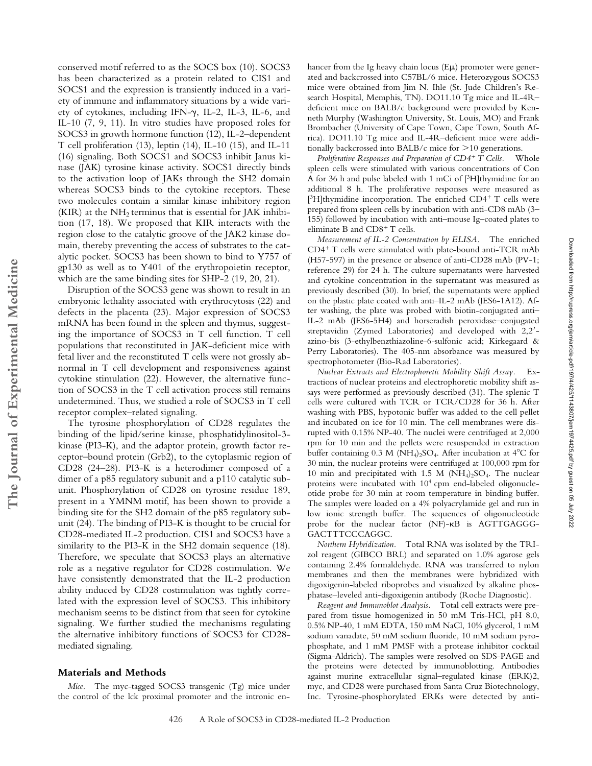conserved motif referred to as the SOCS box (10). SOCS3 has been characterized as a protein related to CIS1 and SOCS1 and the expression is transiently induced in a variety of immune and inflammatory situations by a wide variety of cytokines, including IFN- $\gamma$ , IL-2, IL-3, IL-6, and IL-10 (7, 9, 11). In vitro studies have proposed roles for SOCS3 in growth hormone function (12), IL-2–dependent T cell proliferation (13), leptin (14), IL-10 (15), and IL-11 (16) signaling. Both SOCS1 and SOCS3 inhibit Janus kinase (JAK) tyrosine kinase activity. SOCS1 directly binds to the activation loop of JAKs through the SH2 domain whereas SOCS3 binds to the cytokine receptors. These two molecules contain a similar kinase inhibitory region (KIR) at the  $NH<sub>2</sub>$  terminus that is essential for JAK inhibition (17, 18). We proposed that KIR interacts with the region close to the catalytic groove of the JAK2 kinase domain, thereby preventing the access of substrates to the catalytic pocket. SOCS3 has been shown to bind to Y757 of gp130 as well as to Y401 of the erythropoietin receptor, which are the same binding sites for SHP-2 (19, 20, 21).

Disruption of the SOCS3 gene was shown to result in an embryonic lethality associated with erythrocytosis (22) and defects in the placenta (23). Major expression of SOCS3 mRNA has been found in the spleen and thymus, suggesting the importance of SOCS3 in T cell function. T cell populations that reconstituted in JAK-deficient mice with fetal liver and the reconstituted T cells were not grossly abnormal in T cell development and responsiveness against cytokine stimulation (22). However, the alternative function of SOCS3 in the T cell activation process still remains undetermined. Thus, we studied a role of SOCS3 in T cell receptor complex–related signaling.

The tyrosine phosphorylation of CD28 regulates the binding of the lipid/serine kinase, phosphatidylinositol-3 kinase (PI3-K), and the adaptor protein, growth factor receptor–bound protein (Grb2), to the cytoplasmic region of CD28 (24–28). PI3-K is a heterodimer composed of a dimer of a p85 regulatory subunit and a p110 catalytic subunit. Phosphorylation of CD28 on tyrosine residue 189, present in a YMNM motif, has been shown to provide a binding site for the SH2 domain of the p85 regulatory subunit (24). The binding of PI3-K is thought to be crucial for CD28-mediated IL-2 production. CIS1 and SOCS3 have a similarity to the PI3-K in the SH2 domain sequence (18). Therefore, we speculate that SOCS3 plays an alternative role as a negative regulator for CD28 costimulation. We have consistently demonstrated that the IL-2 production ability induced by CD28 costimulation was tightly correlated with the expression level of SOCS3. This inhibitory mechanism seems to be distinct from that seen for cytokine signaling. We further studied the mechanisms regulating the alternative inhibitory functions of SOCS3 for CD28 mediated signaling.

### **Materials and Methods**

*Mice.* The myc-tagged SOCS3 transgenic (Tg) mice under the control of the lck proximal promoter and the intronic enhancer from the Ig heavy chain locus  $(E\mu)$  promoter were generated and backcrossed into C57BL/6 mice. Heterozygous SOCS3 mice were obtained from Jim N. Ihle (St. Jude Children's Research Hospital, Memphis, TN). DO11.10 Tg mice and IL-4R– deficient mice on BALB/c background were provided by Kenneth Murphy (Washington University, St. Louis, MO) and Frank Brombacher (University of Cape Town, Cape Town, South Africa). DO11.10 Tg mice and IL-4R–deficient mice were additionally backcrossed into BALB/c mice for  $>$ 10 generations.

*Proliferative Responses and Preparation of CD4*- *T Cells.* Whole spleen cells were stimulated with various concentrations of Con A for 36 h and pulse labeled with 1 mCi of [3H]thymidine for an additional 8 h. The proliferative responses were measured as [<sup>3</sup>H]thymidine incorporation. The enriched CD4<sup>+</sup> T cells were prepared from spleen cells by incubation with anti-CD8 mAb (3– 155) followed by incubation with anti–mouse Ig–coated plates to eliminate B and CD8<sup>+</sup> T cells.

*Measurement of IL-2 Concentration by ELISA.* The enriched CD4<sup>+</sup> T cells were stimulated with plate-bound anti-TCR mAb (H57-597) in the presence or absence of anti-CD28 mAb (PV-1; reference 29) for 24 h. The culture supernatants were harvested and cytokine concentration in the supernatant was measured as previously described (30). In brief, the supernatants were applied on the plastic plate coated with anti–IL-2 mAb (JES6-1A12). After washing, the plate was probed with biotin-conjugated anti– IL-2 mAb (JES6-5H4) and horseradish peroxidase–conjugated streptavidin (Zymed Laboratories) and developed with 2,2 azino-bis (3-ethylbenzthiazoline-6-sulfonic acid; Kirkegaard & Perry Laboratories). The 405-nm absorbance was measured by spectrophotometer (Bio-Rad Laboratories).

*Nuclear Extracts and Electrophoretic Mobility Shift Assay.* Extractions of nuclear proteins and electrophoretic mobility shift assays were performed as previously described (31). The splenic T cells were cultured with TCR or TCR/CD28 for 36 h. After washing with PBS, hypotonic buffer was added to the cell pellet and incubated on ice for 10 min. The cell membranes were disrupted with 0.15% NP-40. The nuclei were centrifuged at 2,000 rpm for 10 min and the pellets were resuspended in extraction buffer containing  $0.3 \text{ M } (\text{NH}_4)_2\text{SO}_4$ . After incubation at  $4^{\circ}\text{C}$  for 30 min, the nuclear proteins were centrifuged at 100,000 rpm for 10 min and precipitated with 1.5 M ( $NH<sub>4</sub>$ )<sub>2</sub>SO<sub>4</sub>. The nuclear proteins were incubated with 10<sup>4</sup> cpm end-labeled oligonucleotide probe for 30 min at room temperature in binding buffer. The samples were loaded on a 4% polyacrylamide gel and run in low ionic strength buffer. The sequences of oligonucleotide probe for the nuclear factor (NF)- $\kappa$ B is AGTTGAGGG-GACTTTCCCAGGC.

*Northern Hybridization.* Total RNA was isolated by the TRIzol reagent (GIBCO BRL) and separated on 1.0% agarose gels containing 2.4% formaldehyde. RNA was transferred to nylon membranes and then the membranes were hybridized with digoxigenin-labeled riboprobes and visualized by alkaline phosphatase–leveled anti-digoxigenin antibody (Roche Diagnostic).

*Reagent and Immunoblot Analysis.* Total cell extracts were prepared from tissue homogenized in 50 mM Tris-HCl, pH 8.0, 0.5% NP-40, 1 mM EDTA, 150 mM NaCl, 10% glycerol, 1 mM sodium vanadate, 50 mM sodium fluoride, 10 mM sodium pyrophosphate, and 1 mM PMSF with a protease inhibitor cocktail (Sigma-Aldrich). The samples were resolved on SDS-PAGE and the proteins were detected by immunoblotting. Antibodies against murine extracellular signal–regulated kinase (ERK)2, myc, and CD28 were purchased from Santa Cruz Biotechnology, Inc. Tyrosine-phosphorylated ERKs were detected by anti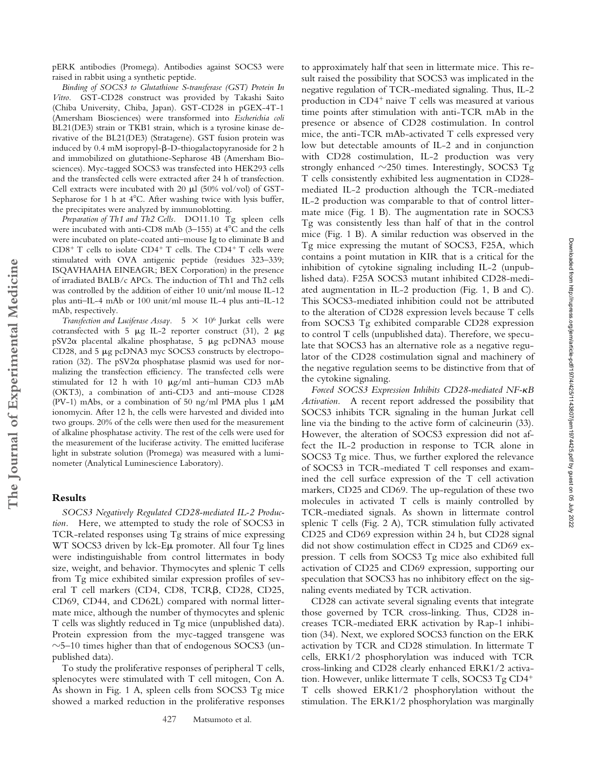pERK antibodies (Promega). Antibodies against SOCS3 were raised in rabbit using a synthetic peptide.

*Binding of SOCS3 to Glutathione S-transferase (GST) Protein In Vitro.* GST-CD28 construct was provided by Takashi Saito (Chiba University, Chiba, Japan). GST-CD28 in pGEX-4T-1 (Amersham Biosciences) were transformed into *Escherichia coli* BL21(DE3) strain or TKB1 strain, which is a tyrosine kinase derivative of the BL21(DE3) (Stratagene). GST fusion protein was induced by 0.4 mM isopropyl- $\beta$ -D-thiogalactopyranoside for 2 h and immobilized on glutathione-Sepharose 4B (Amersham Biosciences). Myc-tagged SOCS3 was transfected into HEK293 cells and the transfected cells were extracted after 24 h of transfection. Cell extracts were incubated with 20  $\mu$ l (50% vol/vol) of GST-Sepharose for 1 h at  $4^{\circ}$ C. After washing twice with lysis buffer, the precipitates were analyzed by immunoblotting.

*Preparation of Th1 and Th2 Cells.* DO11.10 Tg spleen cells were incubated with anti-CD8 mAb (3-155) at  $4^{\circ}$ C and the cells were incubated on plate-coated anti–mouse Ig to eliminate B and CD8<sup>+</sup> T cells to isolate CD4<sup>+</sup> T cells. The CD4<sup>+</sup> T cells were stimulated with OVA antigenic peptide (residues 323–339; ISQAVHAAHA EINEAGR; BEX Corporation) in the presence of irradiated BALB/c APCs. The induction of Th1 and Th2 cells was controlled by the addition of either 10 unit/ml mouse IL-12 plus anti–IL-4 mAb or 100 unit/ml mouse IL-4 plus anti–IL-12 mAb, respectively.

*Transfection and Luciferase Assay.*  $5 \times 10^6$  Jurkat cells were cotransfected with 5  $\mu$ g IL-2 reporter construct (31), 2  $\mu$ g  $pSV2\alpha$  placental alkaline phosphatase, 5  $\mu$ g pcDNA3 mouse CD28, and  $5 \mu$ g pcDNA3 myc SOCS3 constructs by electroporation (32). The  $pSV2\alpha$  phosphatase plasmid was used for normalizing the transfection efficiency. The transfected cells were stimulated for 12 h with 10  $\mu$ g/ml anti-human CD3 mAb (OKT3), a combination of anti-CD3 and anti–mouse CD28 (PV-1) mAbs, or a combination of 50 ng/ml PMA plus 1  $\mu$ M ionomycin. After 12 h, the cells were harvested and divided into two groups. 20% of the cells were then used for the measurement of alkaline phosphatase activity. The rest of the cells were used for the measurement of the luciferase activity. The emitted luciferase light in substrate solution (Promega) was measured with a luminometer (Analytical Luminescience Laboratory).

## **Results**

**The Journal of Experimental Medicine**

The Journal of Experimental Medicine

*SOCS3 Negatively Regulated CD28-mediated IL-2 Production.* Here, we attempted to study the role of SOCS3 in TCR-related responses using Tg strains of mice expressing WT SOCS3 driven by lck-Eµ promoter. All four Tg lines were indistinguishable from control littermates in body size, weight, and behavior. Thymocytes and splenic T cells from Tg mice exhibited similar expression profiles of several T cell markers (CD4, CD8, TCR $\beta$ , CD28, CD25, CD69, CD44, and CD62L) compared with normal littermate mice, although the number of thymocytes and splenic T cells was slightly reduced in Tg mice (unpublished data). Protein expression from the myc-tagged transgene was  $\sim$ 5–10 times higher than that of endogenous SOCS3 (unpublished data).

To study the proliferative responses of peripheral T cells, splenocytes were stimulated with T cell mitogen, Con A. As shown in Fig. 1 A, spleen cells from SOCS3 Tg mice showed a marked reduction in the proliferative responses to approximately half that seen in littermate mice. This result raised the possibility that SOCS3 was implicated in the negative regulation of TCR-mediated signaling. Thus, IL-2 production in CD4<sup>+</sup> naive T cells was measured at various time points after stimulation with anti-TCR mAb in the presence or absence of CD28 costimulation. In control mice, the anti-TCR mAb-activated T cells expressed very low but detectable amounts of IL-2 and in conjunction with CD28 costimulation, IL-2 production was very strongly enhanced  $\sim$ 250 times. Interestingly, SOCS3 Tg T cells consistently exhibited less augmentation in CD28 mediated IL-2 production although the TCR-mediated IL-2 production was comparable to that of control littermate mice (Fig. 1 B). The augmentation rate in SOCS3 Tg was consistently less than half of that in the control mice (Fig. 1 B). A similar reduction was observed in the Tg mice expressing the mutant of SOCS3, F25A, which contains a point mutation in KIR that is a critical for the inhibition of cytokine signaling including IL-2 (unpublished data). F25A SOCS3 mutant inhibited CD28-mediated augmentation in IL-2 production (Fig. 1, B and C). This SOCS3-mediated inhibition could not be attributed to the alteration of CD28 expression levels because T cells from SOCS3 Tg exhibited comparable CD28 expression to control T cells (unpublished data). Therefore, we speculate that SOCS3 has an alternative role as a negative regulator of the CD28 costimulation signal and machinery of the negative regulation seems to be distinctive from that of the cytokine signaling.

Forced SOCS3 Expression Inhibits CD28-mediated NF- $\kappa$ B *Activation.* A recent report addressed the possibility that SOCS3 inhibits TCR signaling in the human Jurkat cell line via the binding to the active form of calcineurin (33). However, the alteration of SOCS3 expression did not affect the IL-2 production in response to TCR alone in SOCS3 Tg mice. Thus, we further explored the relevance of SOCS3 in TCR-mediated T cell responses and examined the cell surface expression of the T cell activation markers, CD25 and CD69. The up-regulation of these two molecules in activated T cells is mainly controlled by TCR-mediated signals. As shown in littermate control splenic T cells (Fig. 2 A), TCR stimulation fully activated CD25 and CD69 expression within 24 h, but CD28 signal did not show costimulation effect in CD25 and CD69 expression. T cells from SOCS3 Tg mice also exhibited full activation of CD25 and CD69 expression, supporting our speculation that SOCS3 has no inhibitory effect on the signaling events mediated by TCR activation.

CD28 can activate several signaling events that integrate those governed by TCR cross-linking. Thus, CD28 increases TCR-mediated ERK activation by Rap-1 inhibition (34). Next, we explored SOCS3 function on the ERK activation by TCR and CD28 stimulation. In littermate T cells, ERK1/2 phosphorylation was induced with TCR cross-linking and CD28 clearly enhanced ERK1/2 activation. However, unlike littermate T cells, SOCS3 Tg CD4- T cells showed ERK1/2 phosphorylation without the stimulation. The ERK1/2 phosphorylation was marginally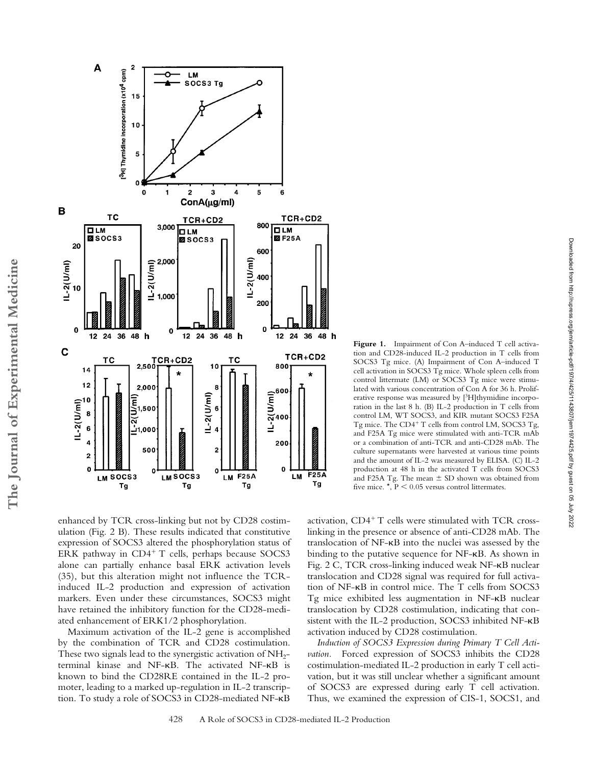

enhanced by TCR cross-linking but not by CD28 costimulation (Fig. 2 B). These results indicated that constitutive expression of SOCS3 altered the phosphorylation status of ERK pathway in CD4<sup>+</sup> T cells, perhaps because SOCS3 alone can partially enhance basal ERK activation levels (35), but this alteration might not influence the TCRinduced IL-2 production and expression of activation markers. Even under these circumstances, SOCS3 might have retained the inhibitory function for the CD28-mediated enhancement of ERK1/2 phosphorylation.

Maximum activation of the IL-2 gene is accomplished by the combination of TCR and CD28 costimulation. These two signals lead to the synergistic activation of  $NH<sub>2</sub>$ terminal kinase and NF-KB. The activated NF-KB is known to bind the CD28RE contained in the IL-2 promoter, leading to a marked up-regulation in IL-2 transcription. To study a role of SOCS3 in CD28-mediated NF-KB

activation, CD4<sup>+</sup> T cells were stimulated with TCR crosslinking in the presence or absence of anti-CD28 mAb. The translocation of NF-KB into the nuclei was assessed by the binding to the putative sequence for  $NF-\kappa B$ . As shown in Fig. 2 C, TCR cross-linking induced weak NF- $\kappa$ B nuclear translocation and CD28 signal was required for full activation of  $NF$ - $\kappa$ B in control mice. The T cells from SOCS3 Tg mice exhibited less augmentation in NF-KB nuclear translocation by CD28 costimulation, indicating that consistent with the IL-2 production, SOCS3 inhibited NF-KB activation induced by CD28 costimulation.

five mice.  $\star$ ,  $P < 0.05$  versus control littermates.

Figure 1. Impairment of Con A-induced T cell activation and CD28-induced IL-2 production in T cells from SOCS3 Tg mice. (A) Impairment of Con A–induced T cell activation in SOCS3 Tg mice. Whole spleen cells from control littermate (LM) or SOCS3 Tg mice were stimulated with various concentration of Con A for 36 h. Proliferative response was measured by [3H]thymidine incorporation in the last 8 h. (B) IL-2 production in T cells from control LM, WT SOCS3, and KIR mutant SOCS3 F25A Tg mice. The CD4<sup>+</sup> T cells from control LM, SOCS3 Tg, and F25A Tg mice were stimulated with anti-TCR mAb or a combination of anti-TCR and anti-CD28 mAb. The culture supernatants were harvested at various time points and the amount of IL-2 was measured by ELISA. (C) IL-2 production at 48 h in the activated T cells from SOCS3 and F25A Tg. The mean  $\pm$  SD shown was obtained from

*Induction of SOCS3 Expression during Primary T Cell Activation.* Forced expression of SOCS3 inhibits the CD28 costimulation-mediated IL-2 production in early T cell activation, but it was still unclear whether a significant amount of SOCS3 are expressed during early T cell activation. Thus, we examined the expression of CIS-1, SOCS1, and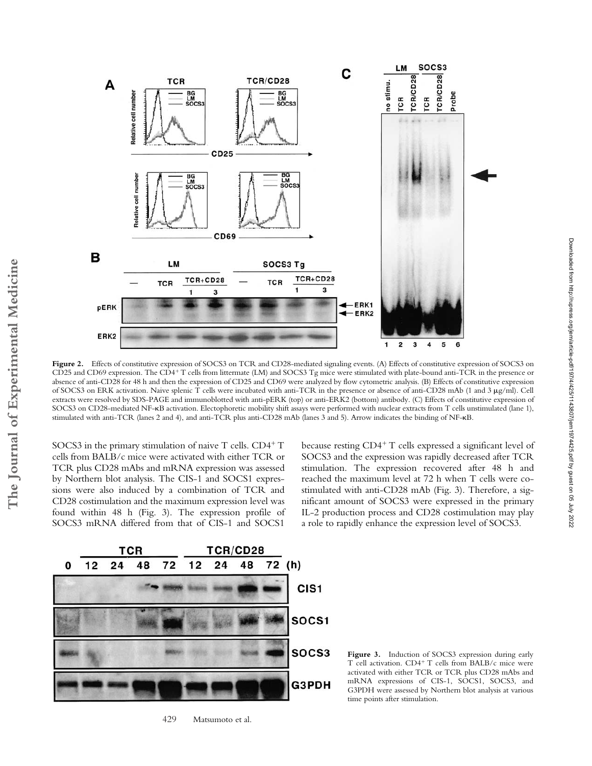

Figure 2. Effects of constitutive expression of SOCS3 on TCR and CD28-mediated signaling events. (A) Effects of constitutive expression of SOCS3 on CD25 and CD69 expression. The CD4<sup>+</sup>T cells from littermate (LM) and SOCS3 Tg mice were stimulated with plate-bound anti-TCR in the presence or absence of anti-CD28 for 48 h and then the expression of CD25 and CD69 were analyzed by flow cytometric analysis. (B) Effects of constitutive expression of SOCS3 on ERK activation. Naive splenic T cells were incubated with anti-TCR in the presence or absence of anti-CD28 mAb (1 and 3 g/ml). Cell extracts were resolved by SDS-PAGE and immunoblotted with anti-pERK (top) or anti-ERK2 (bottom) antibody. (C) Effects of constitutive expression of SOCS3 on CD28-mediated NF-KB activation. Electophoretic mobility shift assays were performed with nuclear extracts from T cells unstimulated (lane 1), stimulated with anti-TCR (lanes 2 and 4), and anti-TCR plus anti-CD28 mAb (lanes 3 and 5). Arrow indicates the binding of NF-KB.

SOCS3 in the primary stimulation of naive T cells. CD4+T cells from BALB/c mice were activated with either TCR or TCR plus CD28 mAbs and mRNA expression was assessed by Northern blot analysis. The CIS-1 and SOCS1 expressions were also induced by a combination of TCR and CD28 costimulation and the maximum expression level was found within 48 h (Fig. 3). The expression profile of SOCS3 mRNA differed from that of CIS-1 and SOCS1

because resting CD4<sup>+</sup> T cells expressed a significant level of SOCS3 and the expression was rapidly decreased after TCR stimulation. The expression recovered after 48 h and reached the maximum level at 72 h when T cells were costimulated with anti-CD28 mAb (Fig. 3). Therefore, a significant amount of SOCS3 were expressed in the primary IL-2 production process and CD28 costimulation may play a role to rapidly enhance the expression level of SOCS3.



429 Matsumoto et al.

Figure 3. Induction of SOCS3 expression during early T cell activation. CD4<sup>+</sup> T cells from BALB/c mice were activated with either TCR or TCR plus CD28 mAbs and mRNA expressions of CIS-1, SOCS1, SOCS3, and G3PDH were assessed by Northern blot analysis at various time points after stimulation.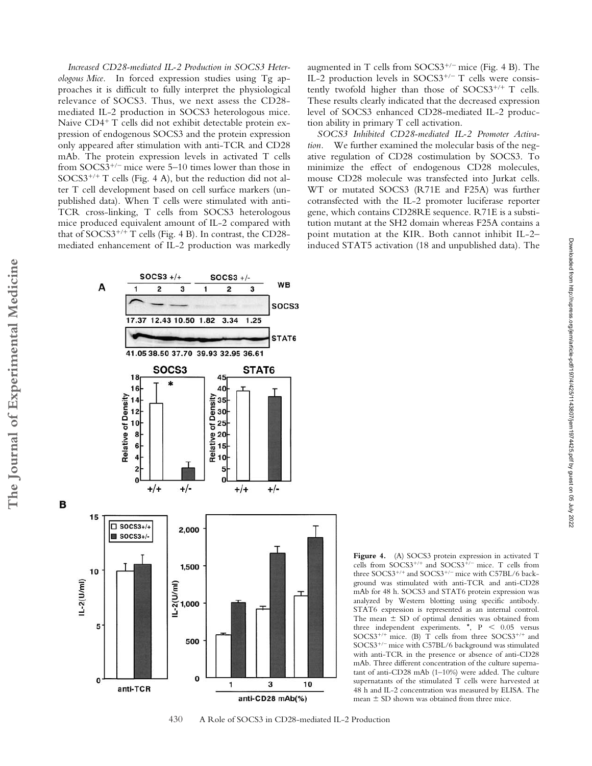*Increased CD28-mediated IL-2 Production in SOCS3 Heterologous Mice.* In forced expression studies using Tg approaches it is difficult to fully interpret the physiological relevance of SOCS3. Thus, we next assess the CD28 mediated IL-2 production in SOCS3 heterologous mice. Naive CD4<sup>+</sup> T cells did not exhibit detectable protein expression of endogenous SOCS3 and the protein expression only appeared after stimulation with anti-TCR and CD28 mAb. The protein expression levels in activated T cells from SOCS3<sup>+/-</sup> mice were 5-10 times lower than those in SOCS3<sup>+/+</sup> T cells (Fig. 4 A), but the reduction did not alter T cell development based on cell surface markers (unpublished data). When T cells were stimulated with anti-TCR cross-linking, T cells from SOCS3 heterologous mice produced equivalent amount of IL-2 compared with that of SOCS3<sup>+/+</sup> T cells (Fig. 4 B). In contrast, the CD28mediated enhancement of IL-2 production was markedly

 $SOCS3$  +/+  $SOCS3 +/-$ **WB** A  $\overline{c}$ 3 3 2 SOCS3 17.37 12.43 10.50 1.82  $3.34$  $1.25$ STAT<sub>6</sub> 41.05 38.50 37.70 39.93 32.95 36.61 SOCS3 STAT6 18 45 16 40 **Relative of Density**  $14$  $12$ 10 8 6 5  $\mathbf 0$  $\mathbf 0$  $+/+$  $+/ +/ ^{+/+}$ 15  $\Box$  SOCS3+/+ 2.000  $\blacksquare$  SOCS3+/-1,500 10 1,000<br>1-2(1,000<br>1- $L-2(U/m)$ 5 500

 $\mathbf{0}$ 

1

augmented in T cells from SOCS3<sup>+/-</sup> mice (Fig. 4 B). The IL-2 production levels in SOCS3<sup>+/-</sup> T cells were consistently twofold higher than those of  $SOCS3^{+/+}$  T cells. These results clearly indicated that the decreased expression level of SOCS3 enhanced CD28-mediated IL-2 production ability in primary T cell activation.

*SOCS3 Inhibited CD28-mediated IL-2 Promoter Activation.* We further examined the molecular basis of the negative regulation of CD28 costimulation by SOCS3. To minimize the effect of endogenous CD28 molecules, mouse CD28 molecule was transfected into Jurkat cells. WT or mutated SOCS3 (R71E and F25A) was further cotransfected with the IL-2 promoter luciferase reporter gene, which contains CD28RE sequence. R71E is a substitution mutant at the SH2 domain whereas F25A contains a point mutation at the KIR. Both cannot inhibit IL-2– induced STAT5 activation (18 and unpublished data). The

Figure 4. (A) SOCS3 protein expression in activated T cells from SOCS3<sup>+/+</sup> and SOCS3<sup>+/-</sup> mice. T cells from three SOCS3<sup>+/+</sup> and SOCS3<sup>+/-</sup> mice with C57BL/6 background was stimulated with anti-TCR and anti-CD28 mAb for 48 h. SOCS3 and STAT6 protein expression was analyzed by Western blotting using specific antibody. STAT6 expression is represented as an internal control. The mean  $\pm$  SD of optimal densities was obtained from three independent experiments.  $\star$ , P < 0.05 versus  $SOCS3^{+/+}$  mice. (B) T cells from three  $SOCS3^{+/+}$  and SOCS3- mice with C57BL/6 background was stimulated with anti-TCR in the presence or absence of anti-CD28 mAb. Three different concentration of the culture supernatant of anti-CD28 mAb (1–10%) were added. The culture supernatants of the stimulated T cells were harvested at 48 h and IL-2 concentration was measured by ELISA. The mean  $\pm$  SD shown was obtained from three mice.



10

3

anti-CD28 mAb(%)



 $\bf{0}$ 

anti-TCR

**The Journal of Experimental Medicine**

The Journal of Experimental Medicine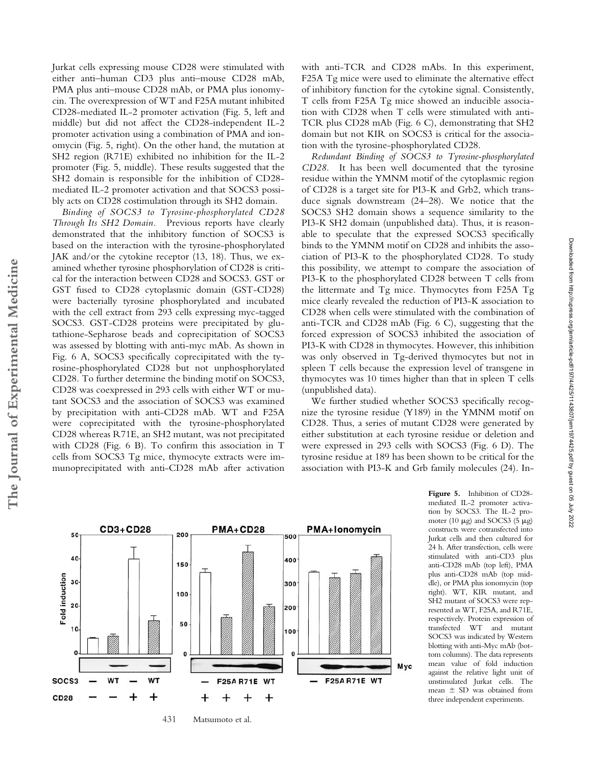Jurkat cells expressing mouse CD28 were stimulated with either anti–human CD3 plus anti–mouse CD28 mAb, PMA plus anti–mouse CD28 mAb, or PMA plus ionomycin. The overexpression of WT and F25A mutant inhibited CD28-mediated IL-2 promoter activation (Fig. 5, left and middle) but did not affect the CD28-independent IL-2 promoter activation using a combination of PMA and ionomycin (Fig. 5, right). On the other hand, the mutation at SH2 region (R71E) exhibited no inhibition for the IL-2 promoter (Fig. 5, middle). These results suggested that the SH2 domain is responsible for the inhibition of CD28 mediated IL-2 promoter activation and that SOCS3 possibly acts on CD28 costimulation through its SH2 domain.

*Binding of SOCS3 to Tyrosine-phosphorylated CD28 Through Its SH2 Domain.* Previous reports have clearly demonstrated that the inhibitory function of SOCS3 is based on the interaction with the tyrosine-phosphorylated JAK and/or the cytokine receptor (13, 18). Thus, we examined whether tyrosine phosphorylation of CD28 is critical for the interaction between CD28 and SOCS3. GST or GST fused to CD28 cytoplasmic domain (GST-CD28) were bacterially tyrosine phosphorylated and incubated with the cell extract from 293 cells expressing myc-tagged SOCS3. GST-CD28 proteins were precipitated by glutathione-Sepharose beads and coprecipitation of SOCS3 was assessed by blotting with anti-myc mAb. As shown in Fig. 6 A, SOCS3 specifically coprecipitated with the tyrosine-phosphorylated CD28 but not unphosphorylated CD28. To further determine the binding motif on SOCS3, CD28 was coexpressed in 293 cells with either WT or mutant SOCS3 and the association of SOCS3 was examined by precipitation with anti-CD28 mAb. WT and F25A were coprecipitated with the tyrosine-phosphorylated CD28 whereas R71E, an SH2 mutant, was not precipitated with CD28 (Fig. 6 B). To confirm this association in T cells from SOCS3 Tg mice, thymocyte extracts were immunoprecipitated with anti-CD28 mAb after activation

with anti-TCR and CD28 mAbs. In this experiment, F25A Tg mice were used to eliminate the alternative effect of inhibitory function for the cytokine signal. Consistently, T cells from F25A Tg mice showed an inducible association with CD28 when T cells were stimulated with anti-TCR plus CD28 mAb (Fig. 6 C), demonstrating that SH2 domain but not KIR on SOCS3 is critical for the association with the tyrosine-phosphorylated CD28.

*Redundant Binding of SOCS3 to Tyrosine-phosphorylated CD28.* It has been well documented that the tyrosine residue within the YMNM motif of the cytoplasmic region of CD28 is a target site for PI3-K and Grb2, which transduce signals downstream (24–28). We notice that the SOCS3 SH2 domain shows a sequence similarity to the PI3-K SH2 domain (unpublished data). Thus, it is reasonable to speculate that the expressed SOCS3 specifically binds to the YMNM motif on CD28 and inhibits the association of PI3-K to the phosphorylated CD28. To study this possibility, we attempt to compare the association of PI3-K to the phosphorylated CD28 between T cells from the littermate and Tg mice. Thymocytes from F25A Tg mice clearly revealed the reduction of PI3-K association to CD28 when cells were stimulated with the combination of anti-TCR and CD28 mAb (Fig. 6 C), suggesting that the forced expression of SOCS3 inhibited the association of PI3-K with CD28 in thymocytes. However, this inhibition was only observed in Tg-derived thymocytes but not in spleen T cells because the expression level of transgene in thymocytes was 10 times higher than that in spleen T cells (unpublished data).

We further studied whether SOCS3 specifically recognize the tyrosine residue (Y189) in the YMNM motif on CD28. Thus, a series of mutant CD28 were generated by either substitution at each tyrosine residue or deletion and were expressed in 293 cells with SOCS3 (Fig. 6 D). The tyrosine residue at 189 has been shown to be critical for the association with PI3-K and Grb family molecules (24). In-



431 Matsumoto et al.

**Figure 5.** Inhibition of CD28 mediated IL-2 promoter activation by SOCS3. The IL-2 promoter (10  $\mu$ g) and SOCS3 (5  $\mu$ g) constructs were cotransfected into Jurkat cells and then cultured for 24 h. After transfection, cells were stimulated with anti-CD3 plus anti-CD28 mAb (top left), PMA plus anti-CD28 mAb (top middle), or PMA plus ionomycin (top right). WT, KIR mutant, and SH2 mutant of SOCS3 were represented as WT, F25A, and R71E, respectively. Protein expression of transfected WT and mutant SOCS3 was indicated by Western blotting with anti-Myc mAb (bottom columns). The data represents mean value of fold induction against the relative light unit of unstimulated Jurkat cells. The mean SD was obtained from three independent experiments.

**The Journal of Experimental Medicine**

The Journal of Experimental Medicine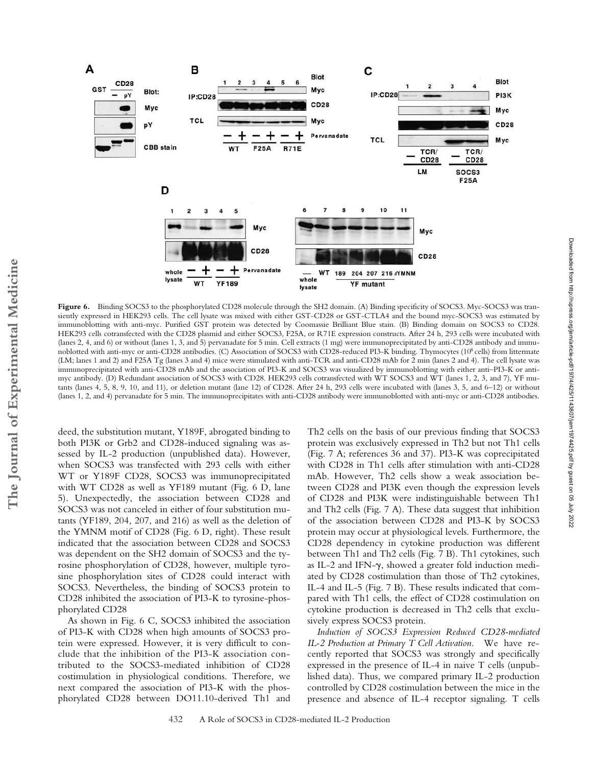

Figure 6. Binding SOCS3 to the phosphorylated CD28 molecule through the SH2 domain. (A) Binding specificity of SOCS3. Myc-SOCS3 was transiently expressed in HEK293 cells. The cell lysate was mixed with either GST-CD28 or GST-CTLA4 and the bound myc-SOCS3 was estimated by immunoblotting with anti-myc. Purified GST protein was detected by Coomassie Brilliant Blue stain. (B) Binding domain on SOCS3 to CD28. HEK293 cells cotransfected with the CD28 plasmid and either SOCS3, F25A, or R71E expression constructs. After 24 h, 293 cells were incubated with (lanes 2, 4, and 6) or without (lanes 1, 3, and 5) pervanadate for 5 min. Cell extracts (1 mg) were immunoprecipitated by anti-CD28 antibody and immunoblotted with anti-myc or anti-CD28 antibodies. (C) Association of SOCS3 with CD28-reduced PI3-K binding. Thymocytes (108 cells) from littermate (LM; lanes 1 and 2) and F25A Tg (lanes 3 and 4) mice were stimulated with anti-TCR and anti-CD28 mAb for 2 min (lanes 2 and 4). The cell lysate was immunoprecipitated with anti-CD28 mAb and the association of PI3-K and SOCS3 was visualized by immunoblotting with either anti–PI3-K or antimyc antibody. (D) Redundant association of SOCS3 with CD28. HEK293 cells cotransfected with WT SOCS3 and WT (lanes 1, 2, 3, and 7), YF mutants (lanes 4, 5, 8, 9, 10, and 11), or deletion mutant (lane 12) of CD28. After 24 h, 293 cells were incubated with (lanes 3, 5, and 6–12) or without (lanes 1, 2, and 4) pervanadate for 5 min. The immunoprecipitates with anti-CD28 antibody were immunoblotted with anti-myc or anti-CD28 antibodies.

deed, the substitution mutant, Y189F, abrogated binding to both PI3K or Grb2 and CD28-induced signaling was assessed by IL-2 production (unpublished data). However, when SOCS3 was transfected with 293 cells with either WT or Y189F CD28, SOCS3 was immunoprecipitated with WT CD28 as well as YF189 mutant (Fig. 6 D, lane 5). Unexpectedly, the association between CD28 and SOCS3 was not canceled in either of four substitution mutants (YF189, 204, 207, and 216) as well as the deletion of the YMNM motif of CD28 (Fig. 6 D, right). These result indicated that the association between CD28 and SOCS3 was dependent on the SH2 domain of SOCS3 and the tyrosine phosphorylation of CD28, however, multiple tyrosine phosphorylation sites of CD28 could interact with SOCS3. Nevertheless, the binding of SOCS3 protein to CD28 inhibited the association of PI3-K to tyrosine-phosphorylated CD28

As shown in Fig. 6 C, SOCS3 inhibited the association of PI3-K with CD28 when high amounts of SOCS3 protein were expressed. However, it is very difficult to conclude that the inhibition of the PI3-K association contributed to the SOCS3-mediated inhibition of CD28 costimulation in physiological conditions. Therefore, we next compared the association of PI3-K with the phosphorylated CD28 between DO11.10-derived Th1 and

Th2 cells on the basis of our previous finding that SOCS3 protein was exclusively expressed in Th2 but not Th1 cells (Fig. 7 A; references 36 and 37). PI3-K was coprecipitated with CD28 in Th1 cells after stimulation with anti-CD28 mAb. However, Th2 cells show a weak association between CD28 and PI3K even though the expression levels of CD28 and PI3K were indistinguishable between Th1 and Th2 cells (Fig. 7 A). These data suggest that inhibition of the association between CD28 and PI3-K by SOCS3 protein may occur at physiological levels. Furthermore, the CD28 dependency in cytokine production was different between Th1 and Th2 cells (Fig. 7 B). Th1 cytokines, such as IL-2 and IFN- $\gamma$ , showed a greater fold induction mediated by CD28 costimulation than those of Th2 cytokines, IL-4 and IL-5 (Fig. 7 B). These results indicated that compared with Th1 cells, the effect of CD28 costimulation on cytokine production is decreased in Th2 cells that exclusively express SOCS3 protein.

*Induction of SOCS3 Expression Reduced CD28-mediated IL-2 Production at Primary T Cell Activation.* We have recently reported that SOCS3 was strongly and specifically expressed in the presence of IL-4 in naive T cells (unpublished data). Thus, we compared primary IL-2 production controlled by CD28 costimulation between the mice in the presence and absence of IL-4 receptor signaling. T cells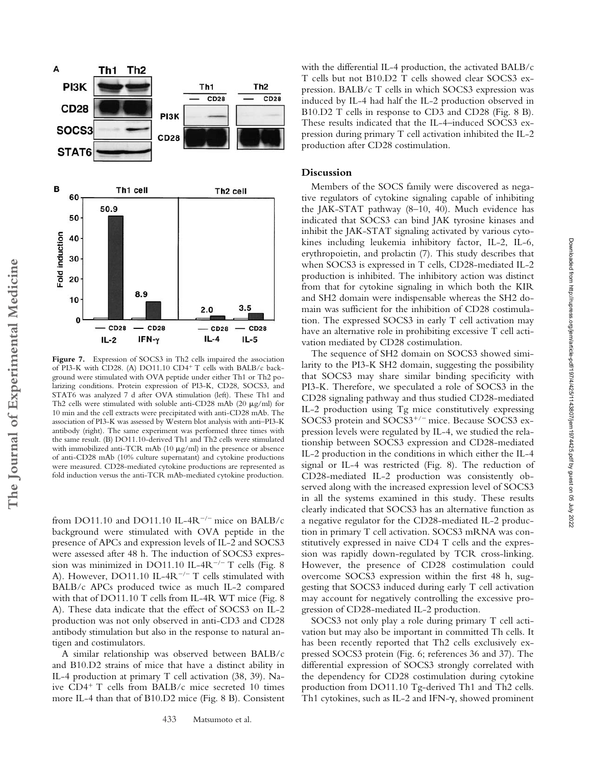

Figure 7. Expression of SOCS3 in Th2 cells impaired the association of PI3-K with CD28. (A) DO11.10 CD4<sup>+</sup> T cells with BALB/c background were stimulated with OVA peptide under either Th1 or Th2 polarizing conditions. Protein expression of PI3-K, CD28, SOCS3, and STAT6 was analyzed 7 d after OVA stimulation (left). These Th1 and Th2 cells were stimulated with soluble anti-CD28 mAb (20  $\mu$ g/ml) for 10 min and the cell extracts were precipitated with anti-CD28 mAb. The association of PI3-K was assessed by Western blot analysis with anti–PI3-K antibody (right). The same experiment was performed three times with the same result. (B) DO11.10-derived Th1 and Th2 cells were stimulated with immobilized anti-TCR mAb  $(10 \mu g/ml)$  in the presence or absence of anti-CD28 mAb (10% culture supernatant) and cytokine productions were measured. CD28-mediated cytokine productions are represented as fold induction versus the anti-TCR mAb-mediated cytokine production.

from DO11.10 and DO11.10 IL-4R<sup>-/-</sup> mice on BALB/c background were stimulated with OVA peptide in the presence of APCs and expression levels of IL-2 and SOCS3 were assessed after 48 h. The induction of SOCS3 expression was minimized in DO11.10 IL-4R $^{-/-}$  T cells (Fig. 8) A). However, DO11.10 IL-4R<sup>-/-</sup> T cells stimulated with BALB/c APCs produced twice as much IL-2 compared with that of DO11.10 T cells from IL-4R WT mice (Fig. 8 A). These data indicate that the effect of SOCS3 on IL-2 production was not only observed in anti-CD3 and CD28 antibody stimulation but also in the response to natural antigen and costimulators.

A similar relationship was observed between BALB/c and B10.D2 strains of mice that have a distinct ability in IL-4 production at primary T cell activation (38, 39). Naive CD4<sup>+</sup> T cells from BALB/c mice secreted 10 times more IL-4 than that of B10.D2 mice (Fig. 8 B). Consistent

with the differential IL-4 production, the activated BALB/c T cells but not B10.D2 T cells showed clear SOCS3 expression. BALB/c T cells in which SOCS3 expression was induced by IL-4 had half the IL-2 production observed in B10.D2 T cells in response to CD3 and CD28 (Fig. 8 B). These results indicated that the IL-4–induced SOCS3 expression during primary T cell activation inhibited the IL-2 production after CD28 costimulation.

## **Discussion**

Members of the SOCS family were discovered as negative regulators of cytokine signaling capable of inhibiting the JAK-STAT pathway (8–10, 40). Much evidence has indicated that SOCS3 can bind JAK tyrosine kinases and inhibit the JAK-STAT signaling activated by various cytokines including leukemia inhibitory factor, IL-2, IL-6, erythropoietin, and prolactin (7). This study describes that when SOCS3 is expressed in T cells, CD28-mediated IL-2 production is inhibited. The inhibitory action was distinct from that for cytokine signaling in which both the KIR and SH2 domain were indispensable whereas the SH2 domain was sufficient for the inhibition of CD28 costimulation. The expressed SOCS3 in early T cell activation may have an alternative role in prohibiting excessive T cell activation mediated by CD28 costimulation.

The sequence of SH2 domain on SOCS3 showed similarity to the PI3-K SH2 domain, suggesting the possibility that SOCS3 may share similar binding specificity with PI3-K. Therefore, we speculated a role of SOCS3 in the CD28 signaling pathway and thus studied CD28-mediated IL-2 production using Tg mice constitutively expressing SOCS3 protein and SOCS3<sup>+/-</sup> mice. Because SOCS3 expression levels were regulated by IL-4, we studied the relationship between SOCS3 expression and CD28-mediated IL-2 production in the conditions in which either the IL-4 signal or IL-4 was restricted (Fig. 8). The reduction of CD28-mediated IL-2 production was consistently observed along with the increased expression level of SOCS3 in all the systems examined in this study. These results clearly indicated that SOCS3 has an alternative function as a negative regulator for the CD28-mediated IL-2 production in primary T cell activation. SOCS3 mRNA was constitutively expressed in naive CD4 T cells and the expression was rapidly down-regulated by TCR cross-linking. However, the presence of CD28 costimulation could overcome SOCS3 expression within the first 48 h, suggesting that SOCS3 induced during early T cell activation may account for negatively controlling the excessive progression of CD28-mediated IL-2 production.

SOCS3 not only play a role during primary T cell activation but may also be important in committed Th cells. It has been recently reported that Th2 cells exclusively expressed SOCS3 protein (Fig. 6; references 36 and 37). The differential expression of SOCS3 strongly correlated with the dependency for CD28 costimulation during cytokine production from DO11.10 Tg-derived Th1 and Th2 cells. Th1 cytokines, such as IL-2 and IFN- $\gamma$ , showed prominent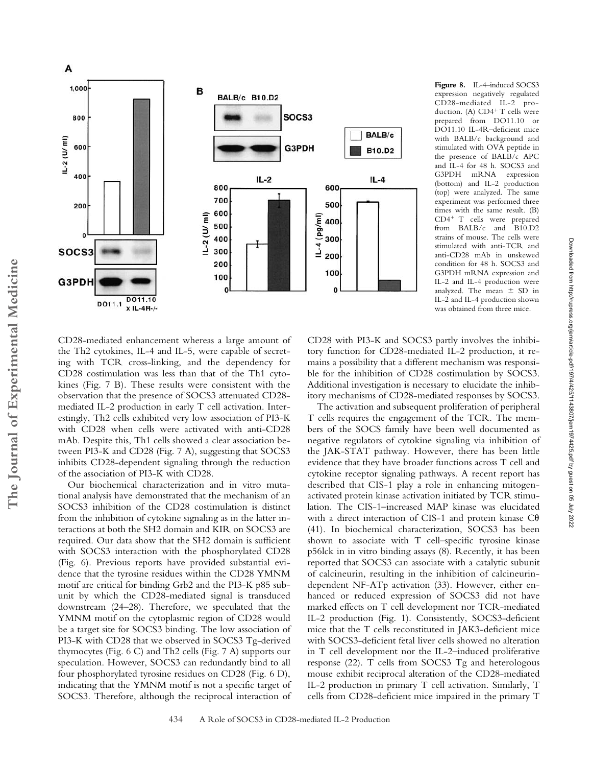

**Figure 8.** IL-4–induced SOCS3 expression negatively regulated CD28-mediated IL-2 production. (A) CD4<sup>+</sup> T cells were prepared from DO11.10 or DO11.10 IL-4R–deficient mice with BALB/c background and stimulated with OVA peptide in the presence of BALB/c APC and IL-4 for 48 h. SOCS3 and<br>G3PDH mRNA expression mRNA expression (bottom) and IL-2 production (top) were analyzed. The same experiment was performed three times with the same result. (B) CD4- T cells were prepared from BALB/c and B10.D2 strains of mouse. The cells were stimulated with anti-TCR and anti-CD28 mAb in unskewed condition for 48 h. SOCS3 and G3PDH mRNA expression and IL-2 and IL-4 production were analyzed. The mean  $\pm$  SD in IL-2 and IL-4 production shown was obtained from three mice.

CD28-mediated enhancement whereas a large amount of the Th2 cytokines, IL-4 and IL-5, were capable of secreting with TCR cross-linking, and the dependency for CD28 costimulation was less than that of the Th1 cytokines (Fig. 7 B). These results were consistent with the observation that the presence of SOCS3 attenuated CD28 mediated IL-2 production in early T cell activation. Interestingly, Th2 cells exhibited very low association of PI3-K with CD28 when cells were activated with anti-CD28 mAb. Despite this, Th1 cells showed a clear association between PI3-K and CD28 (Fig. 7 A), suggesting that SOCS3 inhibits CD28-dependent signaling through the reduction of the association of PI3-K with CD28.

Our biochemical characterization and in vitro mutational analysis have demonstrated that the mechanism of an SOCS3 inhibition of the CD28 costimulation is distinct from the inhibition of cytokine signaling as in the latter interactions at both the SH2 domain and KIR on SOCS3 are required. Our data show that the SH2 domain is sufficient with SOCS3 interaction with the phosphorylated CD28 (Fig. 6). Previous reports have provided substantial evidence that the tyrosine residues within the CD28 YMNM motif are critical for binding Grb2 and the PI3-K p85 subunit by which the CD28-mediated signal is transduced downstream (24–28). Therefore, we speculated that the YMNM motif on the cytoplasmic region of CD28 would be a target site for SOCS3 binding. The low association of PI3-K with CD28 that we observed in SOCS3 Tg-derived thymocytes (Fig. 6 C) and Th2 cells (Fig. 7 A) supports our speculation. However, SOCS3 can redundantly bind to all four phosphorylated tyrosine residues on CD28 (Fig. 6 D), indicating that the YMNM motif is not a specific target of SOCS3. Therefore, although the reciprocal interaction of

CD28 with PI3-K and SOCS3 partly involves the inhibitory function for CD28-mediated IL-2 production, it remains a possibility that a different mechanism was responsible for the inhibition of CD28 costimulation by SOCS3. Additional investigation is necessary to elucidate the inhibitory mechanisms of CD28-mediated responses by SOCS3.

The activation and subsequent proliferation of peripheral T cells requires the engagement of the TCR. The members of the SOCS family have been well documented as negative regulators of cytokine signaling via inhibition of the JAK-STAT pathway. However, there has been little evidence that they have broader functions across T cell and cytokine receptor signaling pathways. A recent report has described that CIS-1 play a role in enhancing mitogenactivated protein kinase activation initiated by TCR stimulation. The CIS-1–increased MAP kinase was elucidated with a direct interaction of CIS-1 and protein kinase  $C\theta$ (41). In biochemical characterization, SOCS3 has been shown to associate with T cell–specific tyrosine kinase p56lck in in vitro binding assays (8). Recently, it has been reported that SOCS3 can associate with a catalytic subunit of calcineurin, resulting in the inhibition of calcineurindependent NF-ATp activation (33). However, either enhanced or reduced expression of SOCS3 did not have marked effects on T cell development nor TCR-mediated IL-2 production (Fig. 1). Consistently, SOCS3-deficient mice that the T cells reconstituted in JAK3-deficient mice with SOCS3-deficient fetal liver cells showed no alteration in T cell development nor the IL-2–induced proliferative response (22). T cells from SOCS3 Tg and heterologous mouse exhibit reciprocal alteration of the CD28-mediated IL-2 production in primary T cell activation. Similarly, T cells from CD28-deficient mice impaired in the primary T

Downloaded from http://rupress.org/jem/article-pdf/197/4/425/1143807/jem1974425.pdf by guest on 05 July 2022

Downloaded from http://rupress.org/jem/article-pdf/197/4/425/1143807/jem1974425.pdf by guest on 05 July 2022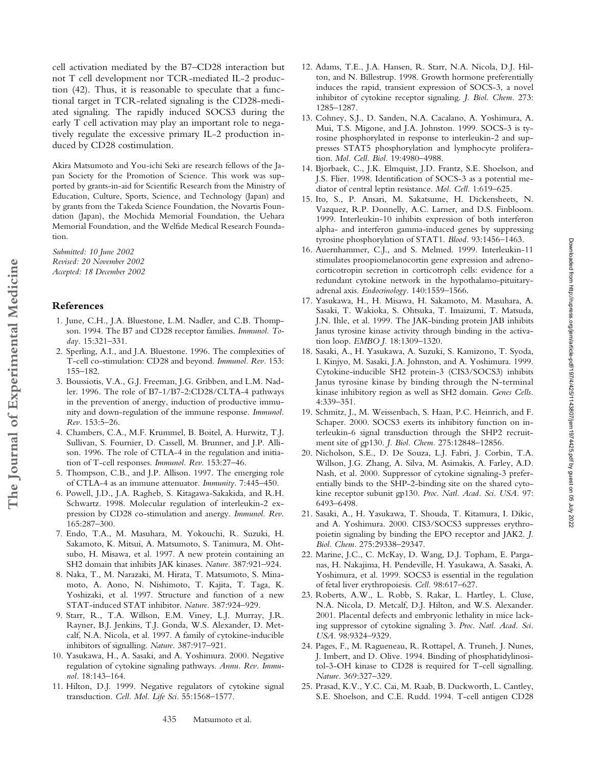cell activation mediated by the B7–CD28 interaction but not T cell development nor TCR-mediated IL-2 production (42). Thus, it is reasonable to speculate that a functional target in TCR-related signaling is the CD28-mediated signaling. The rapidly induced SOCS3 during the early T cell activation may play an important role to negatively regulate the excessive primary IL-2 production induced by CD28 costimulation.

Akira Matsumoto and You-ichi Seki are research fellows of the Japan Society for the Promotion of Science. This work was supported by grants-in-aid for Scientific Research from the Ministry of Education, Culture, Sports, Science, and Technology (Japan) and by grants from the Takeda Science Foundation, the Novartis Foundation (Japan), the Mochida Memorial Foundation, the Uehara Memorial Foundation, and the Welfide Medical Research Foundation.

*Submitted: 10 June 2002 Revised: 20 November 2002 Accepted: 18 December 2002*

### **References**

**The Journal of Experimental Medicine**

The Journal of Experimental Medicine

- 1. June, C.H., J.A. Bluestone, L.M. Nadler, and C.B. Thompson. 1994. The B7 and CD28 receptor families. *Immunol. Today.* 15:321–331.
- 2. Sperling, A.I., and J.A. Bluestone. 1996. The complexities of T-cell co-stimulation: CD28 and beyond. *Immunol. Rev.* 153: 155–182.
- 3. Boussiotis, V.A., G.J. Freeman, J.G. Gribben, and L.M. Nadler. 1996. The role of B7-1/B7-2:CD28/CLTA-4 pathways in the prevention of anergy, induction of productive immunity and down-regulation of the immune response. *Immunol. Rev.* 153:5–26.
- 4. Chambers, C.A., M.F. Krummel, B. Boitel, A. Hurwitz, T.J. Sullivan, S. Fournier, D. Cassell, M. Brunner, and J.P. Allison. 1996. The role of CTLA-4 in the regulation and initiation of T-cell responses. *Immunol. Rev.* 153:27–46.
- 5. Thompson, C.B., and J.P. Allison. 1997. The emerging role of CTLA-4 as an immune attenuator. *Immunity.* 7:445–450.
- 6. Powell, J.D., J.A. Ragheb, S. Kitagawa-Sakakida, and R.H. Schwartz. 1998. Molecular regulation of interleukin-2 expression by CD28 co-stimulation and anergy. *Immunol. Rev.* 165:287–300.
- 7. Endo, T.A., M. Masuhara, M. Yokouchi, R. Suzuki, H. Sakamoto, K. Mitsui, A. Matsumoto, S. Tanimura, M. Ohtsubo, H. Misawa, et al. 1997. A new protein containing an SH2 domain that inhibits JAK kinases. *Nature.* 387:921–924.
- 8. Naka, T., M. Narazaki, M. Hirata, T. Matsumoto, S. Minamoto, A. Aono, N. Nishimoto, T. Kajita, T. Taga, K. Yoshizaki, et al. 1997. Structure and function of a new STAT-induced STAT inhibitor. *Nature.* 387:924–929.
- 9. Starr, R., T.A. Willson, E.M. Viney, L.J. Murray, J.R. Rayner, B.J. Jenkins, T.J. Gonda, W.S. Alexander, D. Metcalf, N.A. Nicola, et al. 1997. A family of cytokine-inducible inhibitors of signalling. *Nature.* 387:917–921.
- 10. Yasukawa, H., A. Sasaki, and A. Yoshimura. 2000. Negative regulation of cytokine signaling pathways. *Annu. Rev. Immunol.* 18:143–164.
- 11. Hilton, D.J. 1999. Negative regulators of cytokine signal transduction. *Cell. Mol. Life Sci.* 55:1568–1577.
- 12. Adams, T.E., J.A. Hansen, R. Starr, N.A. Nicola, D.J. Hilton, and N. Billestrup. 1998. Growth hormone preferentially induces the rapid, transient expression of SOCS-3, a novel inhibitor of cytokine receptor signaling. *J. Biol. Chem.* 273: 1285–1287.
- 13. Cohney, S.J., D. Sanden, N.A. Cacalano, A. Yoshimura, A. Mui, T.S. Migone, and J.A. Johnston. 1999. SOCS-3 is tyrosine phosphorylated in response to interleukin-2 and suppresses STAT5 phosphorylation and lymphocyte proliferation. *Mol. Cell. Biol.* 19:4980–4988.
- 14. Bjorbaek, C., J.K. Elmquist, J.D. Frantz, S.E. Shoelson, and J.S. Flier. 1998. Identification of SOCS-3 as a potential mediator of central leptin resistance. *Mol. Cell.* 1:619–625.
- 15. Ito, S., P. Ansari, M. Sakatsume, H. Dickensheets, N. Vazquez, R.P. Donnelly, A.C. Larner, and D.S. Finbloom. 1999. Interleukin-10 inhibits expression of both interferon alpha- and interferon gamma-induced genes by suppressing tyrosine phosphorylation of STAT1. *Blood.* 93:1456–1463.
- 16. Auernhammer, C.J., and S. Melmed. 1999. Interleukin-11 stimulates proopiomelanocortin gene expression and adrenocorticotropin secretion in corticotroph cells: evidence for a redundant cytokine network in the hypothalamo-pituitaryadrenal axis. *Endocrinology.* 140:1559–1566.
- 17. Yasukawa, H., H. Misawa, H. Sakamoto, M. Masuhara, A. Sasaki, T. Wakioka, S. Ohtsuka, T. Imaizumi, T. Matsuda, J.N. Ihle, et al. 1999. The JAK-binding protein JAB inhibits Janus tyrosine kinase activity through binding in the activation loop. *EMBO J.* 18:1309–1320.
- 18. Sasaki, A., H. Yasukawa, A. Suzuki, S. Kamizono, T. Syoda, I. Kinjyo, M. Sasaki, J.A. Johnston, and A. Yoshimura. 1999. Cytokine-inducible SH2 protein-3 (CIS3/SOCS3) inhibits Janus tyrosine kinase by binding through the N-terminal kinase inhibitory region as well as SH2 domain. *Genes Cells.* 4:339–351.
- 19. Schmitz, J., M. Weissenbach, S. Haan, P.C. Heinrich, and F. Schaper. 2000. SOCS3 exerts its inhibitory function on interleukin-6 signal transduction through the SHP2 recruitment site of gp130. *J. Biol. Chem.* 275:12848–12856.
- 20. Nicholson, S.E., D. De Souza, L.J. Fabri, J. Corbin, T.A. Willson, J.G. Zhang, A. Silva, M. Asimakis, A. Farley, A.D. Nash, et al. 2000. Suppressor of cytokine signaling-3 preferentially binds to the SHP-2-binding site on the shared cytokine receptor subunit gp130. *Proc. Natl. Acad. Sci. USA.* 97: 6493–6498.
- 21. Sasaki, A., H. Yasukawa, T. Shouda, T. Kitamura, I. Dikic, and A. Yoshimura. 2000. CIS3/SOCS3 suppresses erythropoietin signaling by binding the EPO receptor and JAK2. *J. Biol. Chem.* 275:29338–29347.
- 22. Marine, J.C., C. McKay, D. Wang, D.J. Topham, E. Parganas, H. Nakajima, H. Pendeville, H. Yasukawa, A. Sasaki, A. Yoshimura, et al. 1999. SOCS3 is essential in the regulation of fetal liver erythropoiesis. *Cell.* 98:617–627.
- 23. Roberts, A.W., L. Robb, S. Rakar, L. Hartley, L. Cluse, N.A. Nicola, D. Metcalf, D.J. Hilton, and W.S. Alexander. 2001. Placental defects and embryonic lethality in mice lacking suppressor of cytokine signaling 3. *Proc. Natl. Acad. Sci. USA.* 98:9324–9329.
- 24. Pages, F., M. Ragueneau, R. Rottapel, A. Truneh, J. Nunes, J. Imbert, and D. Olive. 1994. Binding of phosphatidylinositol-3-OH kinase to CD28 is required for T-cell signalling. *Nature.* 369:327–329.
- 25. Prasad, K.V., Y.C. Cai, M. Raab, B. Duckworth, L. Cantley, S.E. Shoelson, and C.E. Rudd. 1994. T-cell antigen CD28